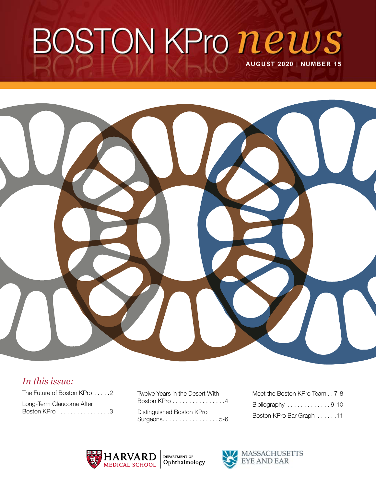# BOSTON KPro news **AUGUST 2020 | NUMBER 15**



### *In this issue:*

The Future of Boston KPro . . . . . 2 Long-Term Glaucoma After [Boston KPro . . . . . . . . . . . . . . . 3](#page-2-0) Twelve Years in the Desert With [Boston KPro . . . . . . . . . . . . . . . 4](#page-3-0) Distinguished Boston KPro Surgeons. . . . . . . . . . . . . . . . . 5-6

| Meet the Boston KPro Team7-8 |
|------------------------------|
| Bibliography 9-10            |
| Boston KPro Bar Graph 11     |



**DEPARTMENT OF**<br> **Ophthalmology** 

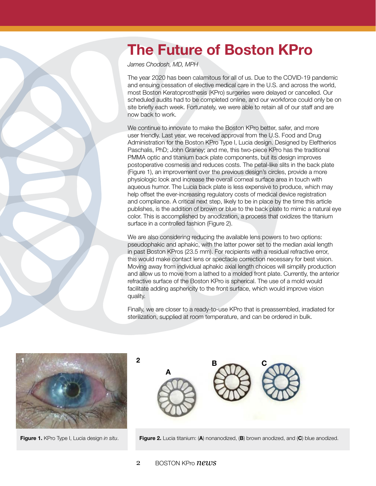# <span id="page-1-0"></span>The Future of Boston KPro

*James Chodosh, MD, MPH* 

The year 2020 has been calamitous for all of us. Due to the COVID-19 pandemic and ensuing cessation of elective medical care in the U.S. and across the world, most Boston Keratoprosthesis (KPro) surgeries were delayed or cancelled. Our scheduled audits had to be completed online, and our workforce could only be on site briefly each week. Fortunately, we were able to retain all of our staff and are now back to work.

We continue to innovate to make the Boston KPro better, safer, and more user friendly. Last year, we received approval from the U.S. Food and Drug Administration for the Boston KPro Type I, Lucia design. Designed by Eleftherios Paschalis, PhD; John Graney; and me, this two-piece KPro has the traditional PMMA optic and titanium back plate components, but its design improves postoperative cosmesis and reduces costs. The petal-like slits in the back plate (Figure 1), an improvement over the previous design's circles, provide a more physiologic look and increase the overall corneal surface area in touch with aqueous humor. The Lucia back plate is less expensive to produce, which may help offset the ever-increasing regulatory costs of medical device registration and compliance. A critical next step, likely to be in place by the time this article publishes, is the addition of brown or blue to the back plate to mimic a natural eye color. This is accomplished by anodization, a process that oxidizes the titanium surface in a controlled fashion (Figure 2).

We are also considering reducing the available lens powers to two options: pseudophakic and aphakic, with the latter power set to the median axial length in past Boston KPros (23.5 mm). For recipients with a residual refractive error, this would make contact lens or spectacle correction necessary for best vision. Moving away from individual aphakic axial length choices will simplify production and allow us to move from a lathed to a molded front plate. Currently, the anterior refractive surface of the Boston KPro is spherical. The use of a mold would facilitate adding asphericity to the front surface, which would improve vision quality.

Finally, we are closer to a ready-to-use KPro that is preassembled, irradiated for sterilization, supplied at room temperature, and can be ordered in bulk.



A  $B \sim C$ 

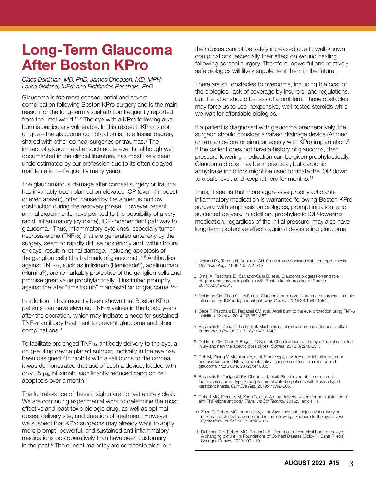# <span id="page-2-0"></span>Long-Term Glaucoma After Boston KPro

*Claes Dohlman, MD, PhD; James Chodosh, MD, MPH; Larisa Gelfand, MEd; and Eleftherios Paschalis, PhD*

Glaucoma is *the* most consequential and severe complication following Boston KPro surgery and is the main reason for the long-term visual attrition frequently reported from the "real world."1,2 The eye with a KPro following alkali burn is particularly vulnerable. In this respect, KPro is not unique—the glaucoma complication is, to a lesser degree, shared with other corneal surgeries or traumas. 3 The impact of glaucoma after such acute events, although well documented in the clinical literature, has most likely been underestimated by our profession due to its often delayed manifestation—frequently many years.

The glaucomatous damage after corneal surgery or trauma has invariably been blamed on elevated IOP (even if modest or even absent), often caused by the aqueous outflow obstruction during the recovery phase. However, recent animal experiments have pointed to the possibility of a very rapid, inflammatory (cytokine), IOP-independent pathway to glaucoma. 3 Thus, inflammatory cytokines, especially tumor necrosis-alpha (TNF- $\alpha$ ) that are generated anteriorly by the surgery, seem to rapidly diffuse posteriorly and, within hours or days, result in retinal damage, including apoptosis of the ganglion cells (the hallmark of glaucoma) . 4-6 Antibodies against TNF- $\alpha$ , such as infliximab (Remicade®), adalimumab (Humira®), are remarkably protective of the ganglion cells and promise great value prophylactically, if instituted promptly, against the later "time bomb" manifestation of glaucoma.<sup>3,4,7</sup>

In addition, it has recently been shown that Boston KPro patients can have elevated TNF- $\alpha$  values in the blood years after the operation, which may indicate a need for sustained TNF- $\alpha$  antibody treatment to prevent glaucoma and other complications. 8

To facilitate prolonged TNF- $\alpha$  antibody delivery to the eye, a drug-eluting device placed subconjunctivally in the eye has been designed.<sup>9</sup> In rabbits with alkali burns to the cornea, it was demonstrated that use of such a device, loaded with only 85  $\mu$ g infliximab, significantly reduced ganglion cell apoptosis over a month. 10

The full relevance of these insights are not yet entirely clear. We are continuing experimental work to determine the most effective and least toxic biologic drug, as well as optimal doses, delivery site, and duration of treatment. However, we suspect that KPro surgeons may already want to apply more prompt, powerful, and sustained anti-inflammatory medications postoperatively than have been customary in the past. 6 The current mainstay are corticosteroids, but

their doses cannot be safely increased due to well-known complications, especially their effect on wound healing following corneal surgery. Therefore, powerful and relatively safe biologics will likely supplement them in the future.

There are still obstacles to overcome, including the cost of the biologics, lack of coverage by insurers, and regulations, but the latter should be less of a problem. These obstacles may force us to use inexpensive, well-tested steroids while we wait for affordable biologics.

If a patient is diagnosed with glaucoma preoperatively, the surgeon should consider a valved drainage device (Ahmed or similar) before or simultaneously with KPro implantation.<sup>2</sup> If the patient does not have a history of glaucoma, then pressure-lowering medication can be given prophylactically. Glaucoma drops may be impractical, but carbonic anhydrase inhibitors might be used to titrate the IOP down to a safe level, and keep it there for months. 11

Thus, it seems that more aggressive prophylactic antiinflammatory medication is warranted following Boston KPro surgery, with emphasis on biologics, prompt initiation, and sustained delivery. In addition, prophylactic IOP-lowering medication, regardless of the initial pressure, may also have long-term protective effects against devastating glaucoma.

- 1. Netland PA, Terada H, Dohlman CH. Glaucoma associated with keratoprosthesis. *Ophthalmology*. 1998;105:751-757.
- 2. Crnej A, Paschalis EI, Salvador-Culla B, et al. Glaucoma progression and role of glaucoma surgery in patients with Boston keratoprosthesis. *Cornea*. 2014;33:349-354.
- 3. Dohlman CH, Zhou C, Lei F, et al. Glaucoma after corneal trauma or surgery a rapid, inflammatory, IOP-independent pathway. *Cornea*. 2019;38:1589-1594.
- 4. Cade F, Paschalis EI, Regatieri CV, et al. Alkali burn to the eye: protection using  $TNF-\alpha$ inhibition. *Cornea*. 2014; 33:382-389.
- 5. Paschalis EI, Zhou C, Lei F, et al. Mechanisms of retinal damage after ocular alkali burns. *Am J Pathol.* 2017;187:1327-1342.
- 6. Dohlman CH, Cade F, Regatieri CV, et al. Chemical burn of the eye: The role of retinal injury and new therapeutic possibilities. *Cornea*. 2018;37:248-251.
- 7. Roh M, Zhang Y, Murakami Y, et al. Etanercept, a widely used inhibitor of tumor necrosis factor-a (TNF-a) prevents retinal ganglion cell loss in a rat model of glaucoma. *PLoS One*. 2012;7:e40065.
- 8. Paschalis EI, Taniguchi EV, Chodosh J, et al. Blood levels of tumor necrosis factor alpha and its type 2 receptor are elevated in patients with Boston type I keratoprosthesis. *Curr Eye Res*. 2019;44:599-606.
- 9. Robert MC, Frenette M, Zhou C, et al. A drug delivery system for administration of anti-TNF-alpha antibody. *Transl Vis Sci Technol.* 2016;5: article 11.
- 10. Zhou C, Robert MC, Kapoulea V, et al. Sustained subconjunctival delivery of infliximab protects the cornea and retina following alkali burn to the eye. *Invest Ophthalmol Vis Sci*. 2017;58:96-105.
- 11. Dohlman CH, Robert MC, Paschalis EI. Treatment of chemical burn to the eye. A changing picture. In: Foundations of Corneal Disease (Colby K, Dana R, eds). Springer, Denver. 2020;109-119.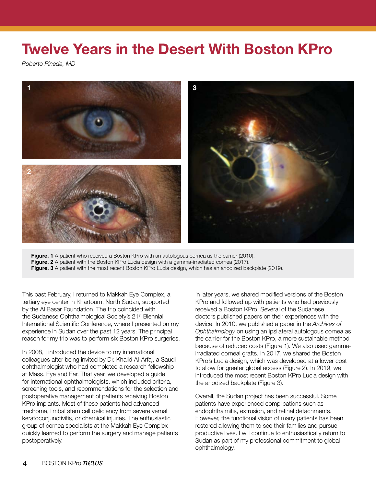# <span id="page-3-0"></span>Twelve Years in the Desert With Boston KPro

*Roberto Pineda, MD*



Figure. 1 A patient who received a Boston KPro with an autologous cornea as the carrier (2010). Figure. 2 A patient with the Boston KPro Lucia design with a gamma-irradiated cornea (2017). Figure. 3 A patient with the most recent Boston KPro Lucia design, which has an anodized backplate (2019).

This past February, I returned to Makkah Eye Complex, a tertiary eye center in Khartoum, North Sudan, supported by the Al Basar Foundation. The trip coincided with the Sudanese Ophthalmological Society's 21<sup>st</sup> Biennial International Scientific Conference, where I presented on my experience in Sudan over the past 12 years. The principal reason for my trip was to perform six Boston KPro surgeries.

In 2008, I introduced the device to my international colleagues after being invited by Dr. Khalid Al-Arfaj, a Saudi ophthalmologist who had completed a research fellowship at Mass. Eye and Ear. That year, we developed a guide for international ophthalmologists, which included criteria, screening tools, and recommendations for the selection and postoperative management of patients receiving Boston KPro implants. Most of these patients had advanced trachoma, limbal stem cell deficiency from severe vernal keratoconjunctivitis, or chemical injuries. The enthusiastic group of cornea specialists at the Makkah Eye Complex quickly learned to perform the surgery and manage patients postoperatively.

In later years, we shared modified versions of the Boston KPro and followed up with patients who had previously received a Boston KPro. Several of the Sudanese doctors published papers on their experiences with the device. In 2010, we published a paper in the *Archives of Ophthalmology* on using an ipsilateral autologous cornea as the carrier for the Boston KPro, a more sustainable method because of reduced costs (Figure 1). We also used gammairradiated corneal grafts. In 2017, we shared the Boston KPro's Lucia design, which was developed at a lower cost to allow for greater global access (Figure 2). In 2019, we introduced the most recent Boston KPro Lucia design with the anodized backplate (Figure 3).

Overall, the Sudan project has been successful. Some patients have experienced complications such as endophthalmitis, extrusion, and retinal detachments. However, the functional vision of many patients has been restored allowing them to see their families and pursue productive lives. I will continue to enthusiastically return to Sudan as part of my professional commitment to global ophthalmology.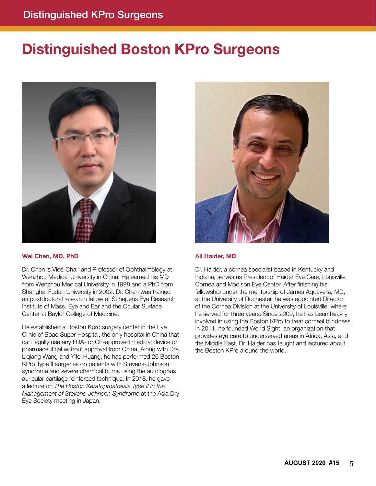# <span id="page-4-0"></span>Distinguished Boston KPro Surgeons



#### Wei Chen, MD, PhD

Dr. Chen is Vice-Chair and Professor of Ophthalmology at Wenzhou Medical University in China. He earned his MD from Wenzhou Medical University in 1998 and a PhD from Shanghai Fudan University in 2002. Dr. Chen was trained as postdoctoral research fellow at Schepens Eye Research Institute of Mass. Eye and Ear and the Ocular Surface Center at Baylor College of Medicine.

He established a Boston Kpro surgery center in the Eye Clinic of Boao Super Hospital, the only hospital in China that can legally use any FDA- or CE-approved medical device or pharmaceutical without approval from China. Along with Drs. Liqiang Wang and Yifei Huang, he has performed 26 Boston KPro Type II surgeries on patients with Stevens-Johnson syndrome and severe chemical burns using the autologous auricular cartilage reinforced technique. In 2018, he gave a lecture on *The Boston Keratoprosthesis Type II in the Management of Stevens-Johnson Syndrome* at the Asia Dry Eye Society meeting in Japan.



#### Ali Haider, MD

Dr. Haider, a cornea specialist based in Kentucky and Indiana, serves as President of Haider Eye Care, Louisville Cornea and Madison Eye Center. After finishing his fellowship under the mentorship of James Aquavella, MD, at the University of Rochester, he was appointed Director of the Cornea Division at the University of Louisville, where he served for three years. Since 2009, he has been heavily involved in using the Boston KPro to treat corneal blindness. In 2011, he founded World Sight, an organization that provides eye care to underserved areas in Africa, Asia, and the Middle East. Dr. Haider has taught and lectured about the Boston KPro around the world.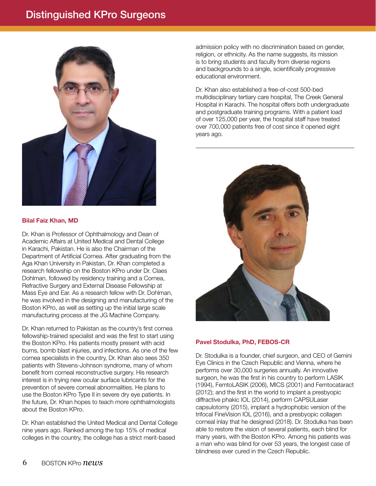### Distinguished KPro Surgeons



#### Bilal Faiz Khan, MD

Dr. Khan is Professor of Ophthalmology and Dean of Academic Affairs at United Medical and Dental College in Karachi, Pakistan. He is also the Chairman of the Department of Artificial Cornea. After graduating from the Aga Khan University in Pakistan, Dr. Khan completed a research fellowship on the Boston KPro under Dr. Claes Dohlman, followed by residency training and a Cornea, Refractive Surgery and External Disease Fellowship at Mass Eye and Ear. As a research fellow with Dr. Dohlman, he was involved in the designing and manufacturing of the Boston KPro, as well as setting up the initial large scale manufacturing process at the JG Machine Company.

Dr. Khan returned to Pakistan as the country's first cornea fellowship-trained specialist and was the first to start using the Boston KPro. His patients mostly present with acid burns, bomb blast injuries, and infections. As one of the few cornea specialists in the country, Dr. Khan also sees 350 patients with Stevens-Johnson syndrome, many of whom benefit from corneal reconstructive surgery. His research interest is in trying new ocular surface lubricants for the prevention of severe corneal abnormalities. He plans to use the Boston KPro Type II in severe dry eye patients. In the future, Dr. Khan hopes to teach more ophthalmologists about the Boston KPro.

Dr. Khan established the United Medical and Dental College nine years ago. Ranked among the top 15% of medical colleges in the country, the college has a strict merit-based

admission policy with no discrimination based on gender, religion, or ethnicity. As the name suggests, its mission is to bring students and faculty from diverse regions and backgrounds to a single, scientifically progressive educational environment.

Dr. Khan also established a free-of-cost 500-bed multidisciplinary tertiary care hospital, The Creek General Hospital in Karachi. The hospital offers both undergraduate and postgraduate training programs. With a patient load of over 125,000 per year, the hospital staff have treated over 700,000 patients free of cost since it opened eight years ago.



#### Pavel Stodulka, PhD, FEBOS-CR

Dr. Stodulka is a founder, chief surgeon, and CEO of Gemini Eye Clinics in the Czech Republic and Vienna, where he performs over 30,000 surgeries annually. An innovative surgeon, he was the first in his country to perform LASIK (1994), FemtoLASIK (2006), MICS (2001) and Femtocataract (2012); and the first in the world to implant a presbyopic diffractive phakic IOL (2014), perform CAPSULaser capsulotomy (2015), implant a hydrophobic version of the trifocal FineVision IOL (2016), and a presbyopic collagen corneal inlay that he designed (2018). Dr. Stodulka has been able to restore the vision of several patients, each blind for many years, with the Boston KPro. Among his patients was a man who was blind for over 53 years, the longest case of blindness ever cured in the Czech Republic.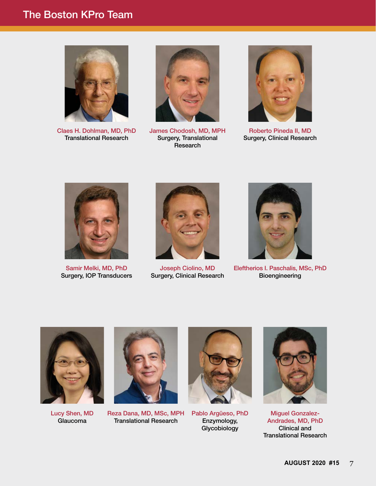### <span id="page-6-0"></span>The Boston KPro Team



Claes H. Dohlman, MD, PhD Translational Research



James Chodosh, MD, MPH Surgery, Translational Research



Roberto Pineda II, MD Surgery, Clinical Research



Samir Melki, MD, PhD Surgery, IOP Transducers



Joseph Ciolino, MD Surgery, Clinical Research



Eleftherios I. Paschalis, MSc, PhD Bioengineering



Lucy Shen, MD Glaucoma



Reza Dana, MD, MSc, MPH Translational Research



Pablo Argüeso, PhD Enzymology, Glycobiology



Miguel Gonzalez-Andrades, MD, PhD Clinical and Translational Research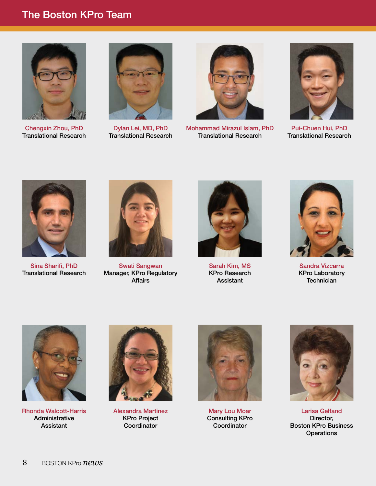### The Boston KPro Team



Chengxin Zhou, PhD Translational Research



Dylan Lei, MD, PhD Translational Research



Mohammad Mirazul Islam, PhD Translational Research



Pui-Chuen Hui, PhD Translational Research



Sina Sharifi, PhD Translational Research



Swati Sangwan Manager, KPro Regulatory Affairs



Sarah Kim, MS KPro Research Assistant



Sandra Vizcarra KPro Laboratory **Technician** 



Rhonda Walcott-Harris Administrative Assistant



Alexandra Martinez KPro Project Coordinator



Mary Lou Moar Consulting KPro **Coordinator** 



Larisa Gelfand Director, Boston KPro Business **Operations**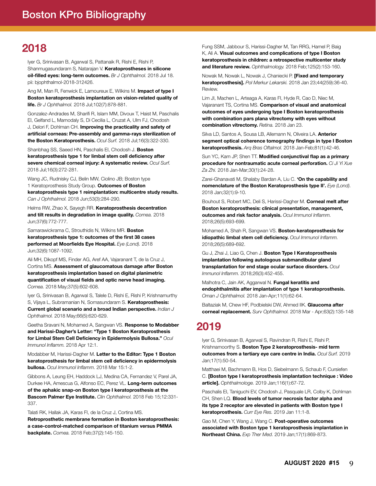## <span id="page-8-0"></span>2018

Iyer G, Srinivasan B, Agarwal S, Pattanaik R, Rishi E, Rishi P, Shanmugasundaram S, Natarajan V. Keratoprostheses in silicone oil-filled eyes: long-term outcomes. *Br J Ophthalmol.* 2018 Jul 18. pii: bjophthalmol-2018-312426.

Ang M, Man R, Fenwick E, Lamoureux E, Wilkins M. Impact of type I Boston keratoprosthesis implantation on vision-related quality of life. *Br J Ophthalmol.* 2018 Jul;102(7):878-881.

Gonzalez-Andrades M, Sharifi R, Islam MM, Divoux T, Haist M, Paschalis EI, Gelfand L, Mamodaly S, Di Cecilia L, Cruzat A, Ulm FJ, Chodosh J, Delori F, Dohlman CH. Improving the practicality and safety of artificial corneas: Pre-assembly and gamma-rays sterilization of the Boston Keratoprosthesis. *Ocul Surf.* 2018 Jul;16(3):322-330.

Shanbhag SS, Saeed HN, Paschalis El, Chodosh J. Boston keratoprosthesis type 1 for limbal stem cell deficiency after severe chemical corneal injury: A systematic review. *Ocul Surf.*  2018 Jul;16(3):272-281.

Wang JC, Rudnisky CJ, Belin MW, Ciolino JB; Boston type 1 Keratoprosthesis Study Group. Outcomes of Boston keratoprosthesis type 1 reimplantation: multicentre study results. *Can J Ophthalmol.* 2018 Jun;53(3):284-290.

Helms RW, Zhao X, Sayegh RR. Keratoprosthesis decentration and tilt results in degradation in image quality. *Cornea.* 2018 Jun;37(6):772-777.

Samarawickrama C, Strouthidis N, Wilkins MR. Boston keratoprosthesis type 1: outcomes of the first 38 cases performed at Moorfields Eye Hospital. *Eye (Lond).* 2018 Jun;32(6):1087-1092.

Ali MH, Dikopf MS, Finder AG, Aref AA, Vajaranant T, de la Cruz J, Cortina MS. Assessment of glaucomatous damage after Boston keratoprosthesis implantation based on digital planimetric quantification of visual fields and optic nerve head imaging. *Cornea.* 2018 May;37(5):602-608.

Iyer G, Srinivasan B, Agarwal S, Talele D, Rishi E, Rishi P, Krishnamurthy S, Vijaya L, Subramanian N, Somasundaram S. Keratoprosthesis: Current global scenario and a broad Indian perspective. *Indian J Ophthalmol.* 2018 May;66(5):620-629.

Geetha Sravani N, Mohamed A, Sangwan VS. Response to Modabber and Harissi-Dagher's Letter: "Type 1 Boston Keratoprosthesis for Limbal Stem Cell Deficiency in Epidermolysis Bullosa." *Ocul Immunol Inflamm.* 2018 Apr 12:1.

Modabber M, Harissi-Dagher M. Letter to the Editor: Type 1 Boston keratoprosthesis for limbal stem cell deficiency in epidermolysis bullosa. *Ocul Immunol Inflamm.* 2018 Mar 15:1-2.

Gibbons A, Leung EH, Haddock LJ, Medina CA, Fernandez V, Parel JA, Durkee HA, Amescua G, Alfonso EC, Perez VL. Long-term outcomes of the aphakic snap-on Boston type I keratoprosthesis at the Bascom Palmer Eye Institute. *Clin Ophthalmol.* 2018 Feb 15;12:331- 337.

Talati RK, Hallak JA, Karas FI, de la Cruz J, Cortina MS.

Retroprosthetic membrane formation in Boston keratoprosthesis: a case-control-matched comparison of titanium versus PMMA backplate. *Cornea.* 2018 Feb;37(2):145-150.

Fung SSM, Jabbour S, Harissi-Dagher M, Tan RRG, Hamel P, Baig K, Ali A. Visual outcomes and complications of type I Boston keratoprosthesis in children: a retrospective multicenter study and literature review. *Ophthalmology.* 2018 Feb;125(2):153-160.

Nowak M, Nowak L, Nowak J, Chaniecki P. [Fixed and temporary keratoprosthesis]. *Pol Merkur Lekarski.* 2018 Jan 23;44(259):36-40. Review.

Lim JI, Machen L, Arteaga A, Karas FI, Hyde R, Cao D, Niec M, Vajaranant TS, Cortina MS. Comparison of visual and anatomical outcomes of eyes undergoing type I Boston keratoprosthesis with combination pars plana vitrectomy with eyes without combination vitrectomy. *Retina.* 2018 Jan 23.

Silva LD, Santos A, Sousa LB, Allemann N, Oliveira LA. Anterior segment optical coherence tomography findings in type I Boston keratoprosthesis. *Arq Bras Oftalmol.* 2018 Jan-Feb;81(1):42-46.

Sun YC, Kam JP, Shen TT. Modified conjunctival flap as a primary procedure for nontraumatic acute corneal perforation. *Ci Ji Yi Xue Za Zhi.* 2018 Jan-Mar;30(1):24-28.

Zarei-Ghanavati M, Shalaby Bardan A, Liu C. 'On the capability and nomenclature of the Boston Keratoprosthesis type II'. *Eye (Lond).*  2018 Jan;32(1):9-10.

Bouhout S, Robert MC, Deli S, Harissi-Dagher M. Corneal melt after Boston keratoprosthesis: clinical presentation, management, outcomes and risk factor analysis. *Ocul Immunol Inflamm.*  2018;26(5):693-699.

Mohamed A, Shah R, Sangwan VS. Boston-keratoprosthesis for idiopathic limbal stem cell deficiency. *Ocul Immunol Inflamm.*  2018;26(5):689-692.

Gu J, Zhai J, Liao G, Chen J. Boston Type I Keratoprosthesis implantation following autologous submandibular gland transplantation for end stage ocular surface disorders. *Ocul Immunol Inflamm.* 2018;26(3):452-455.

Malhotra C, Jain AK, Aggarwal N. Fungal keratitis and endophthalmitis after implantation of type 1 keratoprosthesis. *Oman J Ophthalmol.* 2018 Jan-Apr;11(1):62-64.

Baltaziak M, Chew HF, Podbielski DW, Ahmed IIK. Glaucoma after corneal replacement. *Surv Ophthalmol.* 2018 Mar - Apr;63(2):135-148

# 2019

Iyer G, Srinivasan B, Agarwal S, Ravindran R, Rishi E, Rishi P, Krishnamoorthy S. Boston Type 2 keratoprosthesis- mid term outcomes from a tertiary eye care centre in India. *Ocul Surf.* 2019 Jan;17(1):50-54.

Matthaei M, Bachmann B, Hos D, Siebelmann S, Schaub F, Cursiefen C. [Boston type I keratoprosthesis implantation technique : Video article]. *Ophthalmologe.* 2019 Jan;116(1):67-72.

Paschalis EI, Taniguchi EV, Chodosh J, Pasquale LR, Colby K, Dohlman CH, Shen LQ. Blood levels of tumor necrosis factor alpha and its type 2 receptor are elevated in patients with Boston type I keratoprosthesis. *Curr Eye Res.* 2019 Jan 11:1-8.

Gao M, Chen Y, Wang J, Wang C. Post-operative outcomes associated with Boston type 1 keratoprosthesis implantation in Northeast China. *Exp Ther Med.* 2019 Jan;17(1):869-873.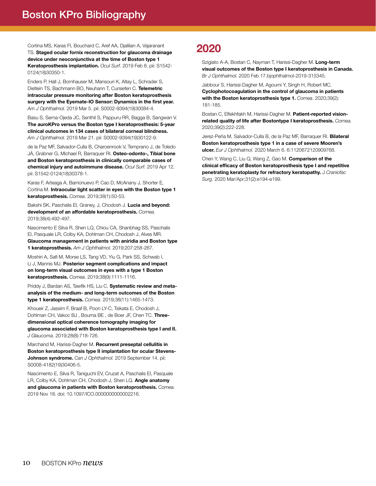Cortina MS, Karas FI, Bouchard C, Aref AA, Djalilian A, Vajaranant TS. Staged ocular fornix reconstruction for glaucoma drainage device under neoconjunctiva at the time of Boston type 1 Keratoprosthesis implantation. *Ocul Surf.* 2019 Feb 8. pii: S1542- 0124(18)30350-1.

Enders P, Hall J, Bornhauser M, Mansouri K, Altay L, Schrader S, Dietlein TS, Bachmann BO, Neuhann T, Cursiefen C. Telemetric intraocular pressure monitoring after Boston keratoprosthesis surgery with the Eyemate-IO Sensor: Dynamics in the first year.

*Am J Ophthalmol.* 2019 Mar 5. pii: S0002-9394(19)30084-4.

Basu S, Serna-Ojeda JC, Senthil S, Pappuru RR, Bagga B, Sangwan V. The auroKPro versus the Boston type I keratoprosthesis: 5-year clinical outcomes in 134 cases of bilateral corneal blindness. *Am J Ophthalmol.* 2019 Mar 21. pii: S0002-9394(19)30122-9.

de la Paz MF, Salvador-Culla B, Charoenrook V, Temprano J, de Toledo JÁ, Grabner G, Michael R, Barraquer RI. Osteo-odonto-, Tibial bone and Boston keratoprosthesis in clinically comparable cases of chemical injury and autoimmune disease. *Ocul Surf.* 2019 Apr 12. pii: S1542-0124(18)30378-1.

Karas F, Arteaga A, Barrionuevo P, Cao D, McAnany J, Shorter E, Cortina M. Intraocular light scatter in eyes with the Boston type 1 keratoprosthesis. *Cornea*. 2019;38(1):50-53.

Bakshi SK, Paschalis EI, Graney, J, Chodosh J. Lucia and beyond: development of an affordable keratoprosthesis. *Cornea*. 2019;38(4):492-497.

Nascimento E Silva R, Shen LQ, Chiou CA, Shanbhag SS, Paschalis EI, Pasquale LR, Colby KA, Dohlman CH, Chodosh J, Alves MR.

Glaucoma management in patients with aniridia and Boston type 1 keratoprosthesis. *Am J Ophthalmol.* 2019;207:258-267.

Moshiri A, Safi M, Morse LS, Tang VD, Yiu G, Park SS, Schwab I, Li J, Mannis MJ. Posterior segment complications and impact on long-term visual outcomes in eyes with a type 1 Boston keratoprosthesis. *Cornea*. 2019;38(9):1111-1116.

Priddy J, Bardan AS, Tawfik HS, Liu C. Systematic review and metaanalysis of the medium- and long-term outcomes of the Boston type 1 keratoprosthesis. *Cornea*. 2019;38(11):1465-1473.

Khoueir Z, Jassim F, Braaf B, Poon LY-C, Tsikata E, Chodosh J, Dohlman CH, Vakoc BJ, Bouma BE, de Boer JF, Chen TC. Threedimensional optical coherence tomography imaging for glaucoma associated with Boston keratoprosthesis type I and II. *J Glaucoma.* 2019;28(8):718-726.

Marchand M, Harissi-Dagher M. Recurrent preseptal cellulitis in Boston keratoprosthesis type II implantation for ocular Stevens-Johnson syndrome. *Can J Ophthalmol.* 2019 September 14. pii: S0008-4182(19)30406-5.

Nascimento E, Silva R, Taniguchi EV, Cruzat A, Paschalis EI, Pasquale LR, Colby KA, Dohlman CH, Chodosh J, Shen LQ. Angle anatomy and glaucoma in patients with Boston keratoprosthesis. *Cornea.* 2019 Nov 18. doi: 10.1097/ICO.0000000000002216.

### 2020

Szigiato A-A, Bostan C, Nayman T, Harissi-Dagher M. Long-term visual outcomes of the Boston type I keratoprosthesis in Canada. *Br J Ophthalmol.* 2020 Feb 17.bjophthalmol-2019-315345.

Jabbour S, Harissi-Dagher M, Agoumi Y, Singh H, Robert MC. Cyclophotocoagulation in the control of glaucoma in patients with the Boston keratoprosthesis type 1. *Cornea*. 2020;39(2): 181-185.

Bostan C, Elfekhfakh M, Harissi-Dagher M. Patient-reported visionrelated quality of life after Bostontype I keratoprosthesis. *Cornea.* 2020;39(2):222-228.

Jerez-Peña M, Salvador-Culla B, de la Paz MF, Barraquer RI. Bilateral Boston keratoprosthesis type 1 in a case of severe Mooren's ulcer. *Eur J Ophthalmol.* 2020 March 6. 6:1120672120909768.

Chen Y, Wang C, Liu Q, Wang Z, Gao M. Comparison of the clinical efficacy of Boston keratoprosthesis type I and repetitive penetrating keratoplasty for refractory keratopathy. J *Craniofac Surg*. 2020 Mar/Apr;31(2):e194-e199.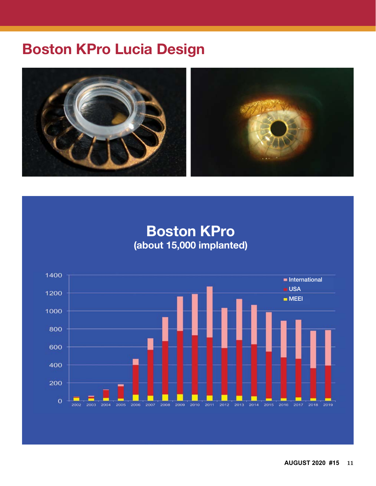# <span id="page-10-0"></span>Boston KPro Lucia Design



Boston KPro (about 15,000 implanted)